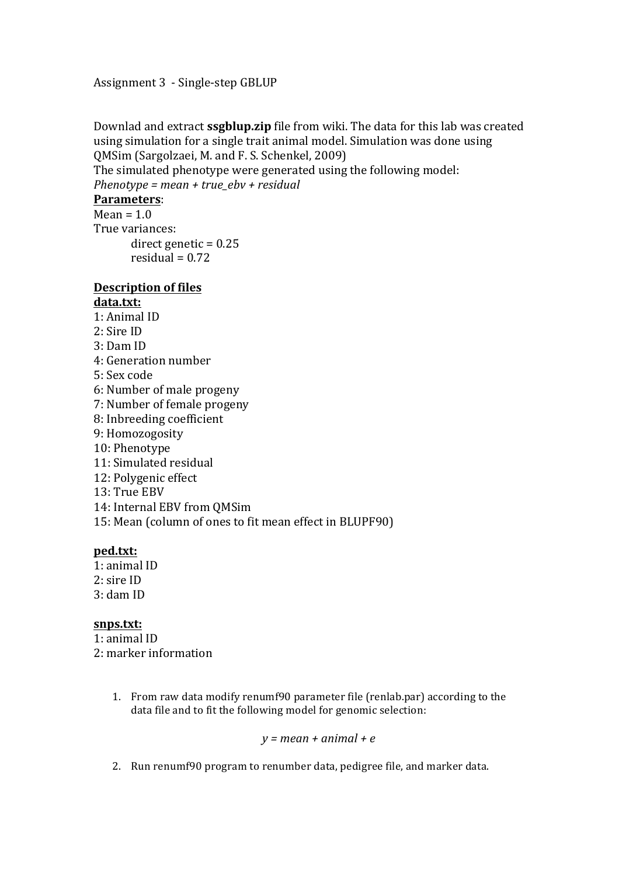Assignment 3 - Single-step GBLUP

Downlad and extract **ssgblup.zip** file from wiki. The data for this lab was created using simulation for a single trait animal model. Simulation was done using OMSim (Sargolzaei, M. and F. S. Schenkel, 2009)

The simulated phenotype were generated using the following model: *Phenotype* = mean + true\_ebv + residual

# **Parameters**:

 $Mean = 1.0$ True variances: direct genetic  $= 0.25$ residual =  $0.72$ 

### **Description of files data.txt:**

- $1:$  Animal ID
- 2: Sire ID
- 3: Dam ID
- 4: Generation number
- 5: Sex code
- 6: Number of male progeny
- 7: Number of female progeny
- 8: Inbreeding coefficient
- 9: Homozogosity
- 10: Phenotype
- 11: Simulated residual
- 12: Polygenic effect
- 13: True EBV
- 14: Internal EBV from OMSim
- 15: Mean (column of ones to fit mean effect in BLUPF90)

## **ped.txt:**

1: animal ID  $2:$  sire ID 3: dam ID

## snps.txt:

- 1: animal ID 2: marker information
	- 1. From raw data modify renumf90 parameter file (renlab.par) according to the data file and to fit the following model for genomic selection:

## $y = mean + animal + e$

2. Run renumf90 program to renumber data, pedigree file, and marker data.